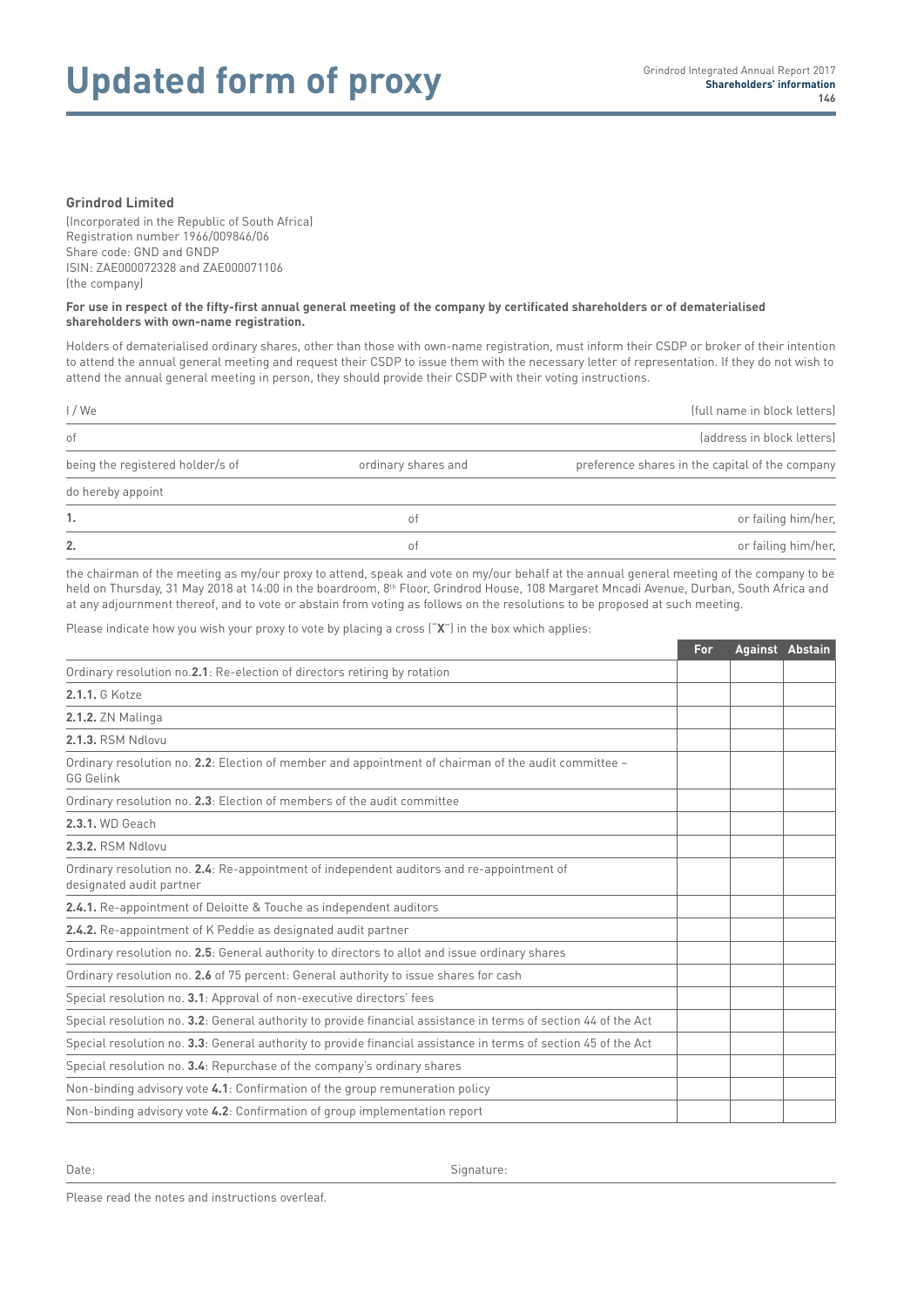# Updated form of proxy **Shareholders' information**

## **Grindrod Limited**

(Incorporated in the Republic of South Africa) Registration number 1966/009846/06 Share code: GND and GNDP ISIN: ZAE000072328 and ZAE000071106 (the company)

#### **For use in respect of the fifty-first annual general meeting of the company by certificated shareholders or of dematerialised shareholders with own-name registration.**

Holders of dematerialised ordinary shares, other than those with own-name registration, must inform their CSDP or broker of their intention to attend the annual general meeting and request their CSDP to issue them with the necessary letter of representation. If they do not wish to attend the annual general meeting in person, they should provide their CSDP with their voting instructions.

| 1/W <sub>e</sub><br>of |    | (full name in block letters)<br>(address in block letters) |  |
|------------------------|----|------------------------------------------------------------|--|
|                        |    |                                                            |  |
| do hereby appoint      |    |                                                            |  |
| 1.                     | 0Ť | or failing him/her,                                        |  |
| 2.                     | ΟŤ | or failing him/her,                                        |  |

the chairman of the meeting as my/our proxy to attend, speak and vote on my/our behalf at the annual general meeting of the company to be held on Thursday, 31 May 2018 at 14:00 in the boardroom, 8<sup>th</sup> Floor, Grindrod House, 108 Margaret Mncadi Avenue, Durban, South Africa and at any adjournment thereof, and to vote or abstain from voting as follows on the resolutions to be proposed at such meeting.

Please indicate how you wish your proxy to vote by placing a cross ("**X**") in the box which applies:

|                                                                                                                       | For | Against Abstain |  |
|-----------------------------------------------------------------------------------------------------------------------|-----|-----------------|--|
| Ordinary resolution no.2.1: Re-election of directors retiring by rotation                                             |     |                 |  |
| 2.1.1. G Kotze                                                                                                        |     |                 |  |
| <b>2.1.2.</b> ZN Malinga                                                                                              |     |                 |  |
| 2.1.3. RSM Ndlovu                                                                                                     |     |                 |  |
| Ordinary resolution no. 2.2: Election of member and appointment of chairman of the audit committee -<br>GG Gelink     |     |                 |  |
| Ordinary resolution no. 2.3: Election of members of the audit committee                                               |     |                 |  |
| 2.3.1. WD Geach                                                                                                       |     |                 |  |
| 2.3.2. RSM Ndlovu                                                                                                     |     |                 |  |
| Ordinary resolution no. 2.4: Re-appointment of independent auditors and re-appointment of<br>designated audit partner |     |                 |  |
| 2.4.1. Re-appointment of Deloitte & Touche as independent auditors                                                    |     |                 |  |
| 2.4.2. Re-appointment of K Peddie as designated audit partner                                                         |     |                 |  |
| Ordinary resolution no. 2.5: General authority to directors to allot and issue ordinary shares                        |     |                 |  |
| Ordinary resolution no. 2.6 of 75 percent: General authority to issue shares for cash                                 |     |                 |  |
| Special resolution no. 3.1: Approval of non-executive directors' fees                                                 |     |                 |  |
| Special resolution no. 3.2: General authority to provide financial assistance in terms of section 44 of the Act       |     |                 |  |
| Special resolution no. 3.3: General authority to provide financial assistance in terms of section 45 of the Act       |     |                 |  |
| Special resolution no. 3.4: Repurchase of the company's ordinary shares                                               |     |                 |  |
| Non-binding advisory vote 4.1: Confirmation of the group remuneration policy                                          |     |                 |  |
| Non-binding advisory vote 4.2: Confirmation of group implementation report                                            |     |                 |  |

Date: Signature:

Please read the notes and instructions overleaf.